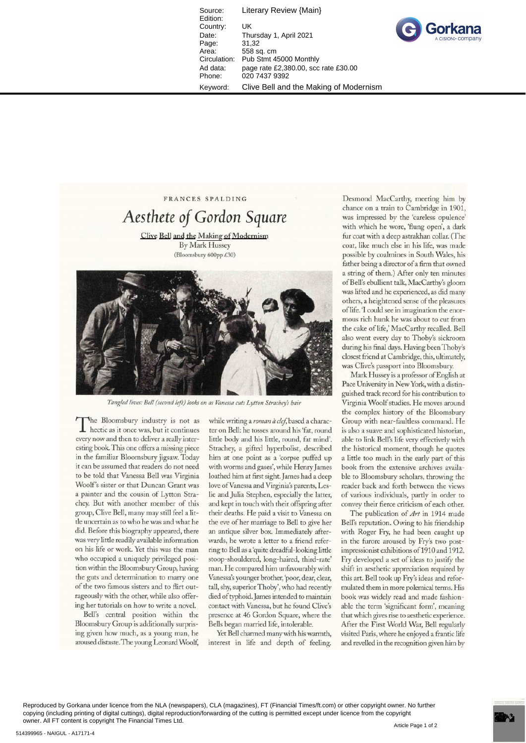Source: Literary Review {Main} Edition: Country: UK Date: Thursday 1, April 2021<br>Page: 31.32 Page:<br>Area: Area: 558 sq. cm<br>Circulation: Pub Stmt 4 Pub Stmt 45000 Monthly Ad data: page rate £2,380.00, scc rate £30.00 Phone: 020 7437 9392 Keyword: Clive Bell and the Making of Modernism



FRANCES SPALDING

A *esthete of Gordon Square*  Clive Bell and the Making of Modernism By Mark Hussey (Bloomsbury 600pp *£30)* 



*Tangled lives: Bell (second left) looks on as Vanessa cuts Lytton Strachey's hair* 

The Bloomsbury industry is not as<br>hectic as it once was, but it continues The Bloomsbury industry is not as every now and then to deliver a really interesting book This one offers a missing piece in the familiar Bloomsbury jigsaw. Today it can be assumed that readers do not need to be told that Vanessa Bell was Virginia Woolf's sister or that Duncan Grant was a painter and the cousin of Lytton Strachey. But with another member of this group, Clive Bell, many may still feel a little uncertain as to who he was and what he did. Before this biography appeared, there was very little readily available information on his life or work. Yet this was the man who occupied a uniquely privileged position within the Bloomsbury Group, having the guts and determination to marry one of the two famous sisters and to flirt outrageously with the other, while also offering her tutorials on how to write a novel.

Bell's central position within the Bloomsbury Group is additionally surprising given how much, as a young man, he aroused distaste. The young Leonard Woolf,

while writing a roman à clef, based a character on Bell: he tosses around his 'fat, round litde body and his litde, round, fat mind'. Strachey, a gifted hyperbolist, described him at one point as a 'corpse puffed up with worms and gases', while Henry James loathed him at first sight. James had a deep love of Vanessa and Virginia's parents, Leslie and Julia Stephen, especially the latter, and kept in touch with their offspring after their deaths. He paid a visit to Vanessa on the eve of her marriage to Bell to give her an antique silver box. Immediately afterwards, he wrote a letter to a friend referring to Bell as a 'quite dreadful-looking litde stoop-shouldered, long-haired, third-rate' man. He compared him unfavourably with Vanessa's younger brother, 'poor, dear, clear, tall, shy, superior Thoby', who had recendy died of typhoid. James intended to maintain contact with Vanessa, but he found Clive's presence at 46 Gordon Square, where the Bells began married life, intolerable.

Yet Bell charmed many with his warmth, interest in life and depth of feeling.

Desmond MacCarthy, meeting him by chance on a train to Cambridge in 1901, was impressed by the 'careless opulence' with which he wore, 'flung open', a dark fur coat with a deep astrakhan collar. (The coat, like much else in his life, was made possible by coalmines in South Wales, his father being a director of a firm that owned a string of them.) After only ten minutes of Bell's ebullient talk, MacCarthy's gloom was lifted and he experienced, as did many others, a heightened sense of the pleasures of life. 'I could see in imagination the enormous rich hunk he was about to cut from the cake of life,' MacCarthy recalled. Bell also went every day to Thoby's sickroom during his final days. Having been Thoby's closest friend at Cambridge, this, ultimately, was Clive's passport into Bloomsbury.

Mark Hussey is a professor of English at Pace University in New York, with a distinguished track record for his contribution to Virginia Woolf studies. He moves around the complex history of the Bloomsbury Group with near-fauldess command. He is also a suave and sophisticated historian, able to link Bell's life very effectively with the historical moment, though he quotes a litde too much in the early part of this book from the extensive archives available to Bloomsbury scholars, throwing the reader back and forth between the views of various individuals, partly in order to convey their fierce criticism of each other.

The publication of *Art* in 1914 made Bell's reputation. Owing to his friendship with Roger Fry, he had been caught up in the furore aroused by Fry's two postimpressionist exhibitions of 1910 and 1912. Fry developed a set of ideas to justify the shift in aesthetic appreciation required by this art. Bell took up Fry's ideas and reformulated them in more polemical terms. His book was widely read and made fashionable the term 'significant form', meaning that which gives rise to aesthetic experience. After the First World War, Bell regularly visited Paris, where he enjoyed a frantic life and revelled in the recognition given him by

Reproduced by Gorkana under licence from the NLA (newspapers), CLA (magazines), FT (Financial Times/ft.com) or other copyright owner. No further copying (including printing of digital cuttings), digital reproduction/forwarding of the cutting is permitted except under licence from the copyright owner. All FT content is copyright The Financial Times Ltd.